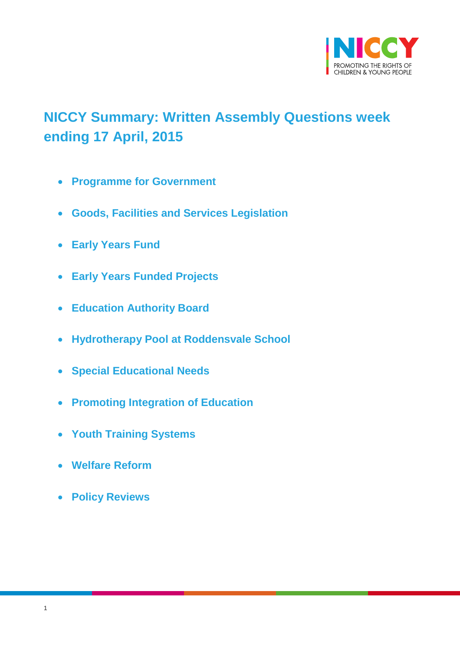

# <span id="page-0-0"></span>**NICCY Summary: Written Assembly Questions week ending 17 April, 2015**

- **[Programme for Government](#page-1-0)**
- **[Goods, Facilities and Services Legislation](#page-1-1)**
- **[Early Years Fund](#page-2-0)**
- **[Early Years Funded Projects](#page-3-0)**
- **[Education Authority Board](#page-3-1)**
- **[Hydrotherapy Pool at Roddensvale School](#page-4-0)**
- **[Special Educational Needs](#page-5-0)**
- **[Promoting Integration of Education](#page-6-0)**
- **[Youth Training Systems](#page-7-0)**
- **[Welfare Reform](#page-8-0)**
- **[Policy Reviews](#page-9-0)**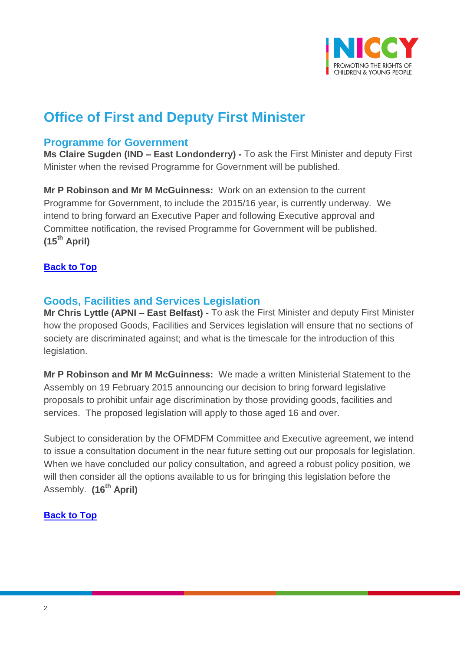

# **Office of First and Deputy First Minister**

#### <span id="page-1-0"></span>**Programme for Government**

**Ms Claire Sugden (IND – East Londonderry) -** To ask the First Minister and deputy First Minister when the revised Programme for Government will be published.

**Mr P Robinson and Mr M McGuinness:** Work on an extension to the current Programme for Government, to include the 2015/16 year, is currently underway. We intend to bring forward an Executive Paper and following Executive approval and Committee notification, the revised Programme for Government will be published. **(15th April)** 

#### **[Back to Top](#page-0-0)**

### <span id="page-1-1"></span>**Goods, Facilities and Services Legislation**

**Mr Chris Lyttle (APNI – East Belfast) -** To ask the First Minister and deputy First Minister how the proposed Goods, Facilities and Services legislation will ensure that no sections of society are discriminated against; and what is the timescale for the introduction of this legislation.

**Mr P Robinson and Mr M McGuinness:** We made a written Ministerial Statement to the Assembly on 19 February 2015 announcing our decision to bring forward legislative proposals to prohibit unfair age discrimination by those providing goods, facilities and services. The proposed legislation will apply to those aged 16 and over.

Subject to consideration by the OFMDFM Committee and Executive agreement, we intend to issue a consultation document in the near future setting out our proposals for legislation. When we have concluded our policy consultation, and agreed a robust policy position, we will then consider all the options available to us for bringing this legislation before the Assembly. **(16th April)**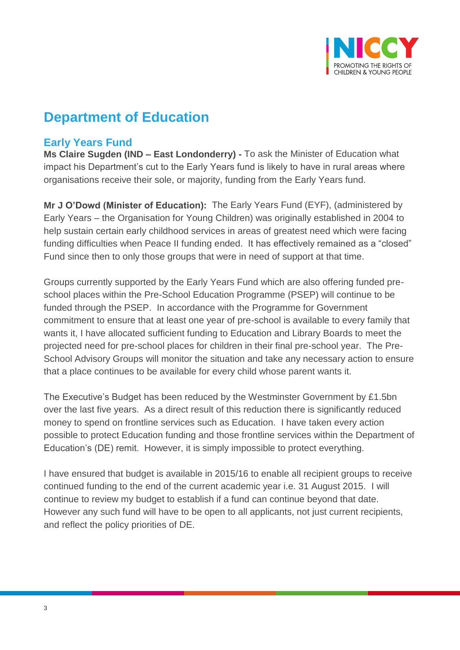

## **Department of Education**

## <span id="page-2-0"></span>**Early Years Fund**

**Ms Claire Sugden (IND – East Londonderry) -** To ask the Minister of Education what impact his Department's cut to the Early Years fund is likely to have in rural areas where organisations receive their sole, or majority, funding from the Early Years fund.

**Mr J O'Dowd (Minister of Education):** The Early Years Fund (EYF), (administered by Early Years – the Organisation for Young Children) was originally established in 2004 to help sustain certain early childhood services in areas of greatest need which were facing funding difficulties when Peace II funding ended. It has effectively remained as a "closed" Fund since then to only those groups that were in need of support at that time.

Groups currently supported by the Early Years Fund which are also offering funded preschool places within the Pre-School Education Programme (PSEP) will continue to be funded through the PSEP. In accordance with the Programme for Government commitment to ensure that at least one year of pre-school is available to every family that wants it, I have allocated sufficient funding to Education and Library Boards to meet the projected need for pre-school places for children in their final pre-school year. The Pre-School Advisory Groups will monitor the situation and take any necessary action to ensure that a place continues to be available for every child whose parent wants it.

The Executive's Budget has been reduced by the Westminster Government by £1.5bn over the last five years. As a direct result of this reduction there is significantly reduced money to spend on frontline services such as Education. I have taken every action possible to protect Education funding and those frontline services within the Department of Education's (DE) remit. However, it is simply impossible to protect everything.

I have ensured that budget is available in 2015/16 to enable all recipient groups to receive continued funding to the end of the current academic year i.e. 31 August 2015. I will continue to review my budget to establish if a fund can continue beyond that date. However any such fund will have to be open to all applicants, not just current recipients, and reflect the policy priorities of DE.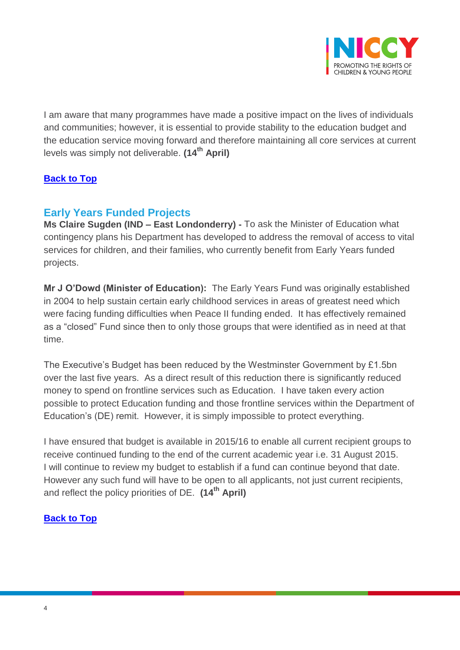

I am aware that many programmes have made a positive impact on the lives of individuals and communities; however, it is essential to provide stability to the education budget and the education service moving forward and therefore maintaining all core services at current levels was simply not deliverable. **(14th April)**

### **[Back to Top](#page-0-0)**

## <span id="page-3-0"></span>**Early Years Funded Projects**

**Ms Claire Sugden (IND – East Londonderry) -** To ask the Minister of Education what contingency plans his Department has developed to address the removal of access to vital services for children, and their families, who currently benefit from Early Years funded projects.

**Mr J O'Dowd (Minister of Education):** The Early Years Fund was originally established in 2004 to help sustain certain early childhood services in areas of greatest need which were facing funding difficulties when Peace II funding ended. It has effectively remained as a "closed" Fund since then to only those groups that were identified as in need at that time.

The Executive's Budget has been reduced by the Westminster Government by £1.5bn over the last five years. As a direct result of this reduction there is significantly reduced money to spend on frontline services such as Education. I have taken every action possible to protect Education funding and those frontline services within the Department of Education's (DE) remit. However, it is simply impossible to protect everything.

<span id="page-3-1"></span>I have ensured that budget is available in 2015/16 to enable all current recipient groups to receive continued funding to the end of the current academic year i.e. 31 August 2015. I will continue to review my budget to establish if a fund can continue beyond that date. However any such fund will have to be open to all applicants, not just current recipients, and reflect the policy priorities of DE. **(14th April)**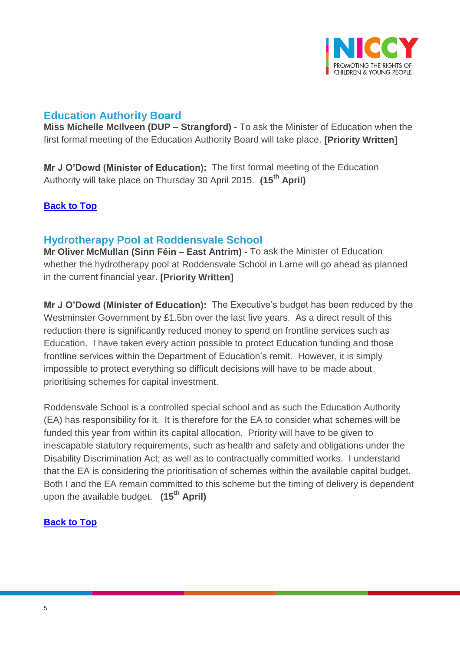

## **Education Authority Board**

**Miss Michelle McIlveen (DUP – Strangford) -** To ask the Minister of Education when the first formal meeting of the Education Authority Board will take place. **[Priority Written]**

**Mr J O'Dowd (Minister of Education):** The first formal meeting of the Education Authority will take place on Thursday 30 April 2015. **(15th April)**

## **[Back to Top](#page-0-0)**

## <span id="page-4-0"></span>**Hydrotherapy Pool at Roddensvale School**

**Mr Oliver McMullan (Sinn Féin – East Antrim) -** To ask the Minister of Education whether the hydrotherapy pool at Roddensvale School in Larne will go ahead as planned in the current financial year. **[Priority Written]**

**Mr J O'Dowd (Minister of Education):** The Executive's budget has been reduced by the Westminster Government by £1.5bn over the last five years. As a direct result of this reduction there is significantly reduced money to spend on frontline services such as Education. I have taken every action possible to protect Education funding and those frontline services within the Department of Education's remit. However, it is simply impossible to protect everything so difficult decisions will have to be made about prioritising schemes for capital investment.

Roddensvale School is a controlled special school and as such the Education Authority (EA) has responsibility for it. It is therefore for the EA to consider what schemes will be funded this year from within its capital allocation. Priority will have to be given to inescapable statutory requirements, such as health and safety and obligations under the Disability Discrimination Act; as well as to contractually committed works. I understand that the EA is considering the prioritisation of schemes within the available capital budget. Both I and the EA remain committed to this scheme but the timing of delivery is dependent upon the available budget. **(15th April)**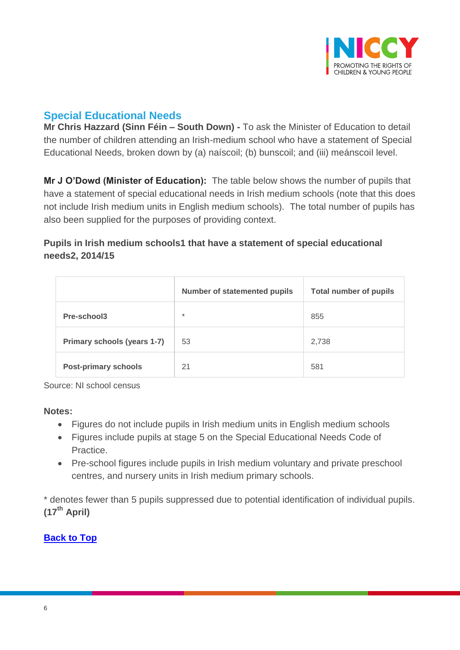

## <span id="page-5-0"></span>**Special Educational Needs**

**Mr Chris Hazzard (Sinn Féin – South Down) -** To ask the Minister of Education to detail the number of children attending an Irish-medium school who have a statement of Special Educational Needs, broken down by (a) naíscoil; (b) bunscoil; and (iii) meánscoil level.

**Mr J O'Dowd (Minister of Education):** The table below shows the number of pupils that have a statement of special educational needs in Irish medium schools (note that this does not include Irish medium units in English medium schools). The total number of pupils has also been supplied for the purposes of providing context.

### **Pupils in Irish medium schools1 that have a statement of special educational needs2, 2014/15**

|                             | <b>Number of statemented pupils</b> | <b>Total number of pupils</b> |
|-----------------------------|-------------------------------------|-------------------------------|
| Pre-school3                 | $\ast$                              | 855                           |
| Primary schools (years 1-7) | 53                                  | 2,738                         |
| <b>Post-primary schools</b> | 21                                  | 581                           |

Source: NI school census

#### **Notes:**

- Figures do not include pupils in Irish medium units in English medium schools
- Figures include pupils at stage 5 on the Special Educational Needs Code of Practice.
- Pre-school figures include pupils in Irish medium voluntary and private preschool centres, and nursery units in Irish medium primary schools.

\* denotes fewer than 5 pupils suppressed due to potential identification of individual pupils. **(17th April)**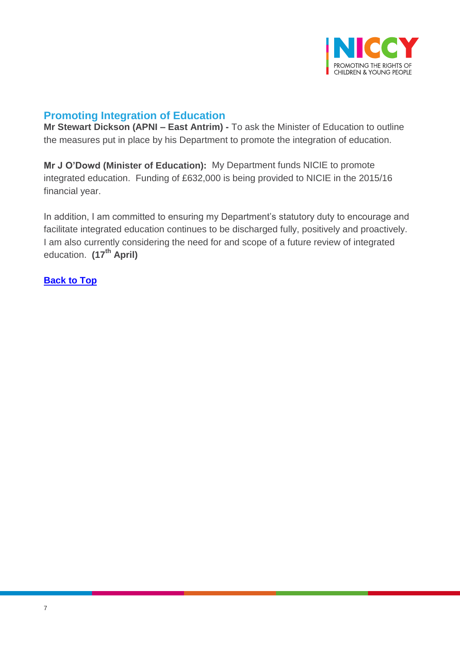

## <span id="page-6-0"></span>**Promoting Integration of Education**

**Mr Stewart Dickson (APNI – East Antrim) -** To ask the Minister of Education to outline the measures put in place by his Department to promote the integration of education.

**Mr J O'Dowd (Minister of Education):** My Department funds NICIE to promote integrated education. Funding of £632,000 is being provided to NICIE in the 2015/16 financial year.

In addition, I am committed to ensuring my Department's statutory duty to encourage and facilitate integrated education continues to be discharged fully, positively and proactively. I am also currently considering the need for and scope of a future review of integrated education. **(17th April)**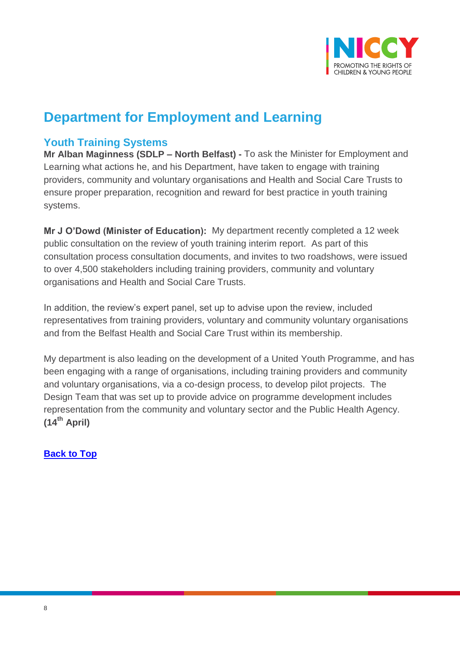

# **Department for Employment and Learning**

## <span id="page-7-0"></span>**Youth Training Systems**

**Mr Alban Maginness (SDLP – North Belfast) -** To ask the Minister for Employment and Learning what actions he, and his Department, have taken to engage with training providers, community and voluntary organisations and Health and Social Care Trusts to ensure proper preparation, recognition and reward for best practice in youth training systems.

**Mr J O'Dowd (Minister of Education):** My department recently completed a 12 week public consultation on the review of youth training interim report. As part of this consultation process consultation documents, and invites to two roadshows, were issued to over 4,500 stakeholders including training providers, community and voluntary organisations and Health and Social Care Trusts.

In addition, the review's expert panel, set up to advise upon the review, included representatives from training providers, voluntary and community voluntary organisations and from the Belfast Health and Social Care Trust within its membership.

My department is also leading on the development of a United Youth Programme, and has been engaging with a range of organisations, including training providers and community and voluntary organisations, via a co-design process, to develop pilot projects. The Design Team that was set up to provide advice on programme development includes representation from the community and voluntary sector and the Public Health Agency. **(14th April)**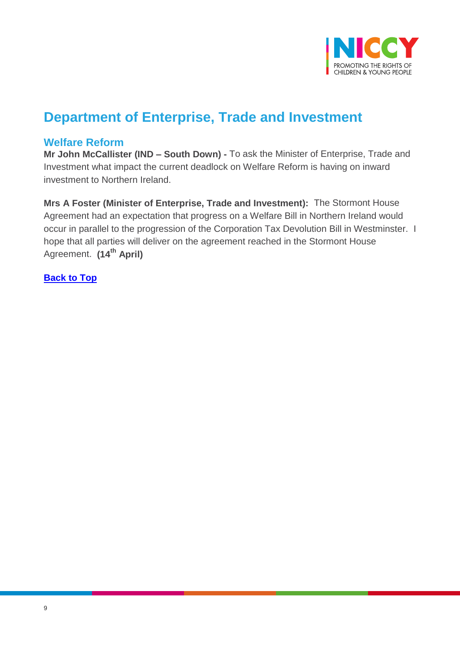

# **Department of Enterprise, Trade and Investment**

### <span id="page-8-0"></span>**Welfare Reform**

**Mr John McCallister (IND – South Down) -** To ask the Minister of Enterprise, Trade and Investment what impact the current deadlock on Welfare Reform is having on inward investment to Northern Ireland.

**Mrs A Foster (Minister of Enterprise, Trade and Investment):** The Stormont House Agreement had an expectation that progress on a Welfare Bill in Northern Ireland would occur in parallel to the progression of the Corporation Tax Devolution Bill in Westminster. I hope that all parties will deliver on the agreement reached in the Stormont House Agreement. **(14th April)**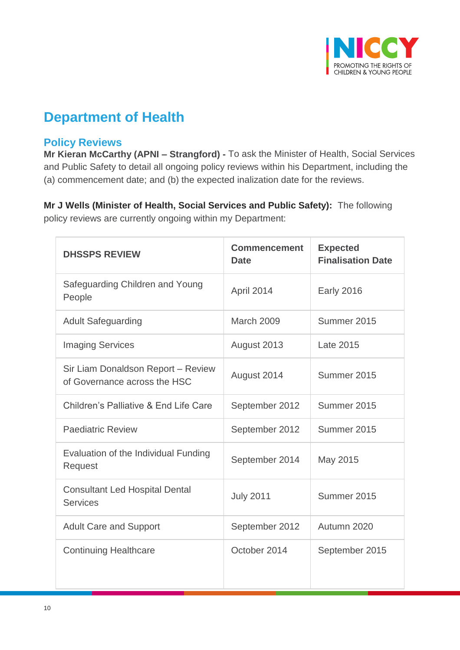

# **Department of Health**

### <span id="page-9-0"></span>**Policy Reviews**

**Mr Kieran McCarthy (APNI – Strangford) -** To ask the Minister of Health, Social Services and Public Safety to detail all ongoing policy reviews within his Department, including the (a) commencement date; and (b) the expected inalization date for the reviews.

**Mr J Wells (Minister of Health, Social Services and Public Safety):** The following policy reviews are currently ongoing within my Department:

| <b>DHSSPS REVIEW</b>                                               | <b>Commencement</b><br><b>Date</b> | <b>Expected</b><br><b>Finalisation Date</b> |
|--------------------------------------------------------------------|------------------------------------|---------------------------------------------|
| Safeguarding Children and Young<br>People                          | April 2014                         | <b>Early 2016</b>                           |
| <b>Adult Safeguarding</b>                                          | March 2009                         | Summer 2015                                 |
| <b>Imaging Services</b>                                            | August 2013                        | Late 2015                                   |
| Sir Liam Donaldson Report - Review<br>of Governance across the HSC | August 2014                        | Summer 2015                                 |
| Children's Palliative & End Life Care                              | September 2012                     | Summer 2015                                 |
| <b>Paediatric Review</b>                                           | September 2012                     | Summer 2015                                 |
| Evaluation of the Individual Funding<br>Request                    | September 2014                     | May 2015                                    |
| <b>Consultant Led Hospital Dental</b><br><b>Services</b>           | <b>July 2011</b>                   | Summer 2015                                 |
| <b>Adult Care and Support</b>                                      | September 2012                     | Autumn 2020                                 |
| <b>Continuing Healthcare</b>                                       | October 2014                       | September 2015                              |